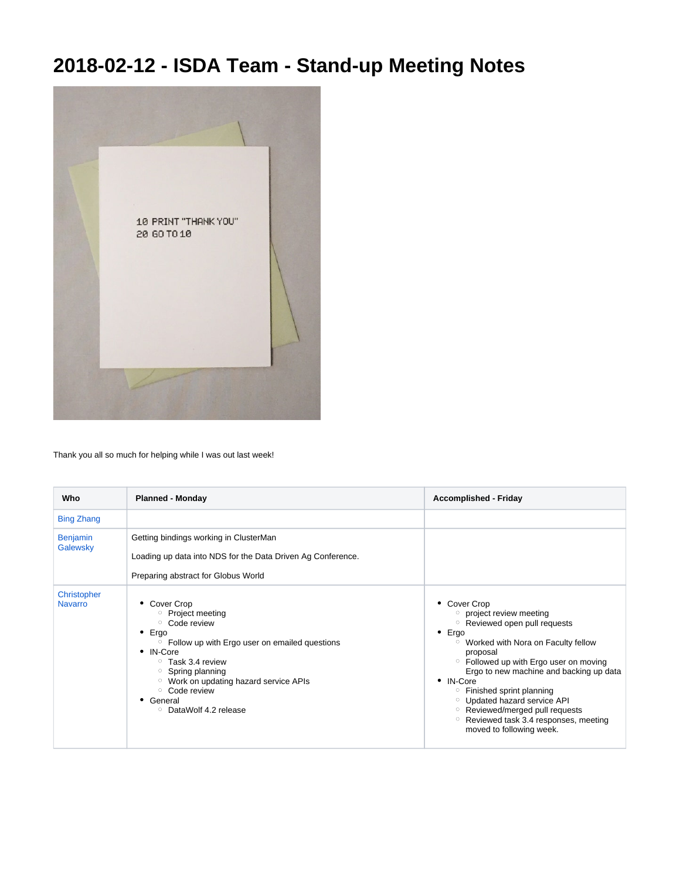## **2018-02-12 - ISDA Team - Stand-up Meeting Notes**



Thank you all so much for helping while I was out last week!

| Who                           | <b>Planned - Monday</b>                                                                                                                                                                                                                                                                                     | <b>Accomplished - Friday</b>                                                                                                                                                                                                                                                                                                                                                                                                                                                                      |
|-------------------------------|-------------------------------------------------------------------------------------------------------------------------------------------------------------------------------------------------------------------------------------------------------------------------------------------------------------|---------------------------------------------------------------------------------------------------------------------------------------------------------------------------------------------------------------------------------------------------------------------------------------------------------------------------------------------------------------------------------------------------------------------------------------------------------------------------------------------------|
| <b>Bing Zhang</b>             |                                                                                                                                                                                                                                                                                                             |                                                                                                                                                                                                                                                                                                                                                                                                                                                                                                   |
| <b>Benjamin</b><br>Galewsky   | Getting bindings working in ClusterMan<br>Loading up data into NDS for the Data Driven Ag Conference.<br>Preparing abstract for Globus World                                                                                                                                                                |                                                                                                                                                                                                                                                                                                                                                                                                                                                                                                   |
| Christopher<br><b>Navarro</b> | • Cover Crop<br>○ Project meeting<br>○ Code review<br>Ergo<br>٠<br><sup>o</sup> Follow up with Ergo user on emailed questions<br>• IN-Core<br>$\circ$ Task 3.4 review<br>$\circ$ Spring planning<br><sup>o</sup> Work on updating hazard service APIs<br>○ Code review<br>General<br>○ DataWolf 4.2 release | • Cover Crop<br>project review meeting<br><sup>o</sup> Reviewed open pull requests<br>$\bullet$ Ergo<br><sup>o</sup> Worked with Nora on Faculty fellow<br>proposal<br><sup>o</sup> Followed up with Ergo user on moving<br>Ergo to new machine and backing up data<br>• IN-Core<br><sup>o</sup> Finished sprint planning<br><sup>o</sup> Updated hazard service API<br><sup>o</sup> Reviewed/merged pull requests<br>Reviewed task 3.4 responses, meeting<br>$\circ$<br>moved to following week. |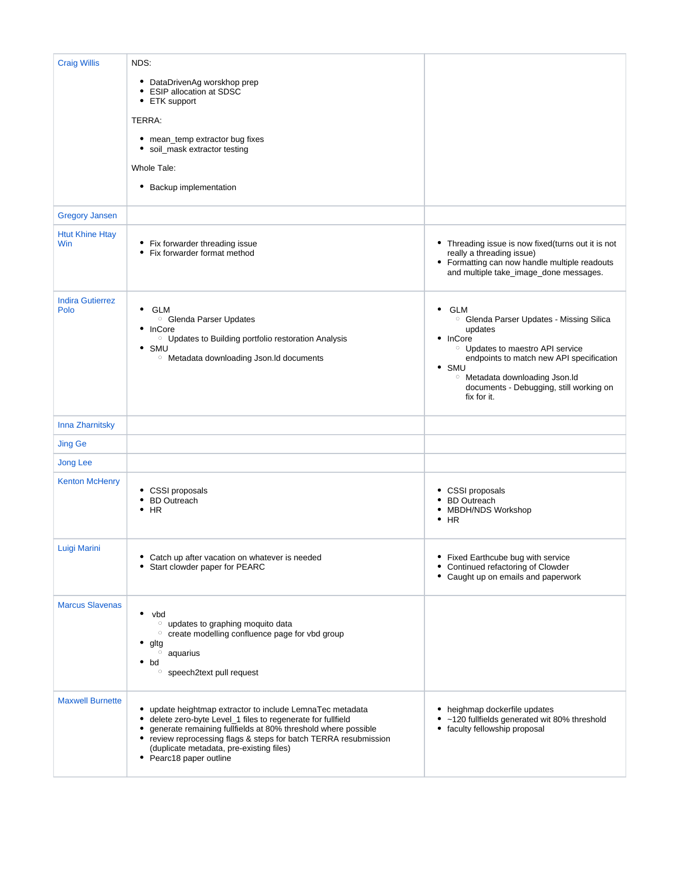| <b>Craig Willis</b>                  | NDS:                                                                                                                                                                                                                                                                                                                                              |                                                                                                                                                                                                                                                                                                                |
|--------------------------------------|---------------------------------------------------------------------------------------------------------------------------------------------------------------------------------------------------------------------------------------------------------------------------------------------------------------------------------------------------|----------------------------------------------------------------------------------------------------------------------------------------------------------------------------------------------------------------------------------------------------------------------------------------------------------------|
|                                      | • DataDrivenAg worskhop prep<br><b>ESIP allocation at SDSC</b><br>٠<br>• ETK support                                                                                                                                                                                                                                                              |                                                                                                                                                                                                                                                                                                                |
|                                      | TERRA:                                                                                                                                                                                                                                                                                                                                            |                                                                                                                                                                                                                                                                                                                |
|                                      | • mean_temp extractor bug fixes<br>soil_mask extractor testing<br>٠                                                                                                                                                                                                                                                                               |                                                                                                                                                                                                                                                                                                                |
|                                      | Whole Tale:                                                                                                                                                                                                                                                                                                                                       |                                                                                                                                                                                                                                                                                                                |
|                                      | • Backup implementation                                                                                                                                                                                                                                                                                                                           |                                                                                                                                                                                                                                                                                                                |
| <b>Gregory Jansen</b>                |                                                                                                                                                                                                                                                                                                                                                   |                                                                                                                                                                                                                                                                                                                |
| <b>Htut Khine Htay</b><br><b>Win</b> | • Fix forwarder threading issue<br>Fix forwarder format method                                                                                                                                                                                                                                                                                    | • Threading issue is now fixed(turns out it is not<br>really a threading issue)<br>• Formatting can now handle multiple readouts<br>and multiple take_image_done messages.                                                                                                                                     |
| <b>Indira Gutierrez</b><br>Polo      | <b>GLM</b><br>$\bullet$<br><sup>o</sup> Glenda Parser Updates<br>$\bullet$ InCore<br><sup>o</sup> Updates to Building portfolio restoration Analysis<br>$\cdot$ SMU<br><sup>o</sup> Metadata downloading Json.Id documents                                                                                                                        | $\bullet$ GLM<br><sup>o</sup> Glenda Parser Updates - Missing Silica<br>updates<br>• InCore<br><sup>o</sup> Updates to maestro API service<br>endpoints to match new API specification<br>$\bullet$ SMU<br><sup>o</sup> Metadata downloading Json.ld<br>documents - Debugging, still working on<br>fix for it. |
| Inna Zharnitsky                      |                                                                                                                                                                                                                                                                                                                                                   |                                                                                                                                                                                                                                                                                                                |
| <b>Jing Ge</b>                       |                                                                                                                                                                                                                                                                                                                                                   |                                                                                                                                                                                                                                                                                                                |
| <b>Jong Lee</b>                      |                                                                                                                                                                                                                                                                                                                                                   |                                                                                                                                                                                                                                                                                                                |
| <b>Kenton McHenry</b>                | • CSSI proposals<br><b>BD</b> Outreach<br>HR<br>٠                                                                                                                                                                                                                                                                                                 | • CSSI proposals<br>• BD Outreach<br><b>MBDH/NDS Workshop</b><br>$\bullet$ HR                                                                                                                                                                                                                                  |
| Luigi Marini                         | Catch up after vacation on whatever is needed<br>٠<br>Start clowder paper for PEARC                                                                                                                                                                                                                                                               | • Fixed Earthcube bug with service<br>• Continued refactoring of Clowder<br>• Caught up on emails and paperwork                                                                                                                                                                                                |
| <b>Marcus Slavenas</b>               | vbd<br><sup>o</sup> updates to graphing moquito data<br>o create modelling confluence page for vbd group<br>gltg<br>$\circ$ aquarius<br>$\bullet$ bd<br>○ speech2text pull request                                                                                                                                                                |                                                                                                                                                                                                                                                                                                                |
| <b>Maxwell Burnette</b>              | update heightmap extractor to include LemnaTec metadata<br>٠<br>delete zero-byte Level_1 files to regenerate for fullfield<br>٠<br>generate remaining fullfields at 80% threshold where possible<br>review reprocessing flags & steps for batch TERRA resubmission<br>٠<br>(duplicate metadata, pre-existing files)<br>Pearc18 paper outline<br>٠ | • heighmap dockerfile updates<br>~120 fullfields generated wit 80% threshold<br>• faculty fellowship proposal                                                                                                                                                                                                  |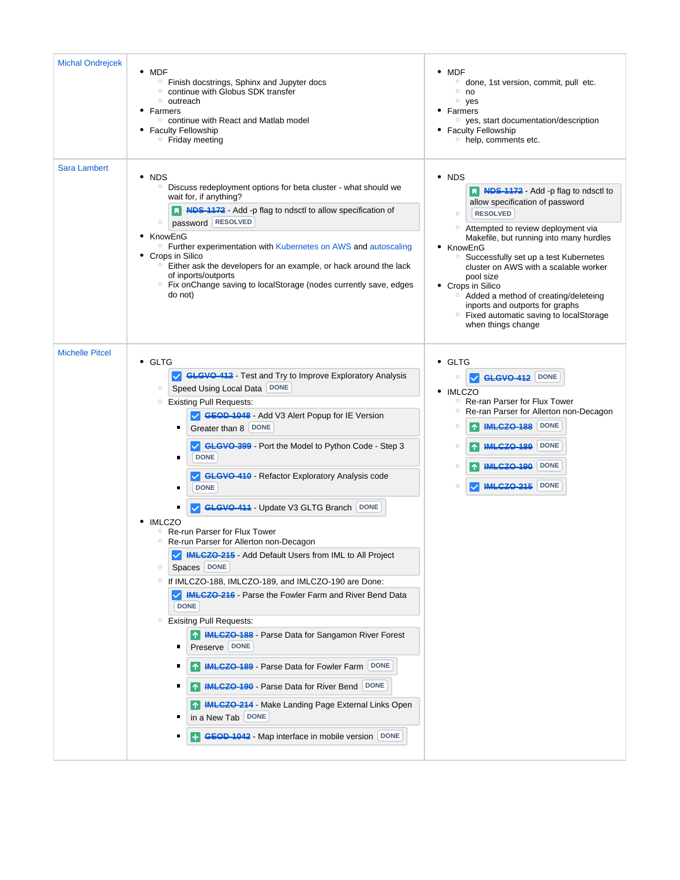| <b>Michal Ondrejcek</b> | $\bullet$ MDF<br><sup>o</sup> Finish docstrings, Sphinx and Jupyter docs<br>○ continue with Globus SDK transfer<br><sup>o</sup> outreach<br>• Farmers<br>○ continue with React and Matlab model<br>• Faculty Fellowship<br><sup>o</sup> Friday meeting                                                                                                                                                                                                                                                                                                                                                                                                                                                                                                                                                                                                                                                                                                                                                                                                                                                                                                                                             | $\bullet$ MDF<br><sup>o</sup> done, 1st version, commit, pull etc.<br>$^{\circ}$ no<br>$\circ$ yes<br>• Farmers<br><sup>o</sup> yes, start documentation/description<br>• Faculty Fellowship<br><sup>o</sup> help, comments etc.                                                                                                                                                                                                                                                                                     |
|-------------------------|----------------------------------------------------------------------------------------------------------------------------------------------------------------------------------------------------------------------------------------------------------------------------------------------------------------------------------------------------------------------------------------------------------------------------------------------------------------------------------------------------------------------------------------------------------------------------------------------------------------------------------------------------------------------------------------------------------------------------------------------------------------------------------------------------------------------------------------------------------------------------------------------------------------------------------------------------------------------------------------------------------------------------------------------------------------------------------------------------------------------------------------------------------------------------------------------------|----------------------------------------------------------------------------------------------------------------------------------------------------------------------------------------------------------------------------------------------------------------------------------------------------------------------------------------------------------------------------------------------------------------------------------------------------------------------------------------------------------------------|
| <b>Sara Lambert</b>     | $\bullet$ NDS<br>Discuss redeployment options for beta cluster - what should we<br>$\circ$<br>wait for, if anything?<br>No. Notice 1172 - Add -p flag to ndsctl to allow specification of<br>password RESOLVED<br>$\circ$<br>• KnowEnG<br><sup>o</sup> Further experimentation with Kubernetes on AWS and autoscaling<br>• Crops in Silico<br>$\circ$ Either ask the developers for an example, or hack around the lack<br>of inports/outports<br>○ Fix onChange saving to localStorage (nodes currently save, edges<br>do not)                                                                                                                                                                                                                                                                                                                                                                                                                                                                                                                                                                                                                                                                    | NDS<br>٠<br>N NDS-1172 - Add -p flag to ndsctl to<br>allow specification of password<br><b>RESOLVED</b><br>$\circ$<br>Attempted to review deployment via<br>$\circ$<br>Makefile, but running into many hurdles<br>• KnowEnG<br><sup>o</sup> Successfully set up a test Kubernetes<br>cluster on AWS with a scalable worker<br>pool size<br>• Crops in Silico<br><sup>o</sup> Added a method of creating/deleteing<br>inports and outports for graphs<br>Fixed automatic saving to localStorage<br>when things change |
| <b>Michelle Pitcel</b>  | • GLTG<br>GLGVO-412 - Test and Try to Improve Exploratory Analysis<br>Speed Using Local Data DONE<br>$\circ$<br><b>Existing Pull Requests:</b><br>$\circ$<br>GEOD-1048 - Add V3 Alert Popup for IE Version<br>Greater than 8 DONE<br>٠<br>GLGVO-399 - Port the Model to Python Code - Step 3<br><b>DONE</b><br>п<br>GLGVO-410 - Refactor Exploratory Analysis code<br><b>DONE</b><br>п<br>GLGVO-411 - Update V3 GLTG Branch DONE<br>٠<br><b>IMLCZO</b><br>Re-run Parser for Flux Tower<br>$\circ$<br>Re-run Parser for Allerton non-Decagon<br>$\circ$<br>MLCZO-215 - Add Default Users from IML to All Project<br>Spaces DONE<br>$\circ$<br>○ If IMLCZO-188, IMLCZO-189, and IMLCZO-190 are Done:<br><b>WIRKLEZO 216</b> - Parse the Fowler Farm and River Bend Data<br><b>DONE</b><br><sup>o</sup> Exisitng Pull Requests:<br><b>1 HMLCZO-188</b> - Parse Data for Sangamon River Forest<br>Preserve DONE<br>п<br><b>1 IMLCZO-189</b> - Parse Data for Fowler Farm<br>DONE<br>1 <b>IMLCZO-190</b> - Parse Data for River Bend<br><b>DONE</b><br>1 <b>IMLCZO-214</b> - Make Landing Page External Links Open<br>in a New Tab   DONE<br><b>ED GEOD-1042</b> - Map interface in mobile version DONE | • GLTG<br>GLGVO-412 DONE<br>$\circ$<br>$\vee$<br>• IMLCZO<br>Re-ran Parser for Flux Tower<br>$\circ$<br>Re-ran Parser for Allerton non-Decagon<br>$\circ$<br><b>IMLCZO-188</b> DONE<br>$\circ$<br>$ \uparrow $<br><b>DONE</b><br><b>IMLCZO-189</b><br>$\circ$<br>$\uparrow$<br><b>DONE</b><br><b>IMLCZO-190</b><br>$\circ$<br><b>IMLCZO-215</b><br><b>DONE</b><br>$\circ$                                                                                                                                            |